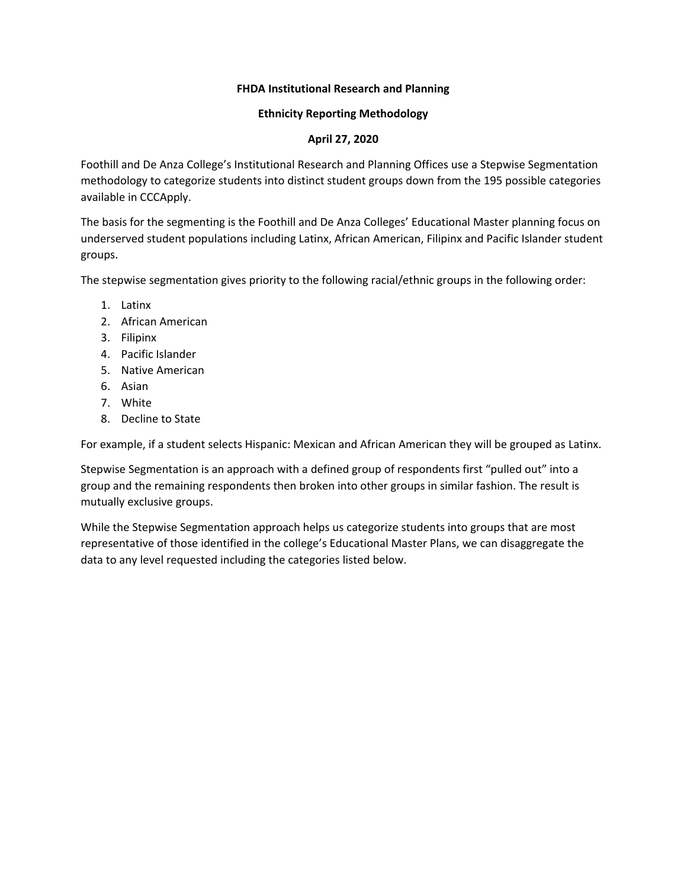## **FHDA Institutional Research and Planning**

## **Ethnicity Reporting Methodology**

## **April 27, 2020**

Foothill and De Anza College's Institutional Research and Planning Offices use a Stepwise Segmentation methodology to categorize students into distinct student groups down from the 195 possible categories available in CCCApply.

The basis for the segmenting is the Foothill and De Anza Colleges' Educational Master planning focus on underserved student populations including Latinx, African American, Filipinx and Pacific Islander student groups.

The stepwise segmentation gives priority to the following racial/ethnic groups in the following order:

- 1. Latinx
- 2. African American
- 3. Filipinx
- 4. Pacific Islander
- 5. Native American
- 6. Asian
- 7. White
- 8. Decline to State

For example, if a student selects Hispanic: Mexican and African American they will be grouped as Latinx.

Stepwise Segmentation is an approach with a defined group of respondents first "pulled out" into a group and the remaining respondents then broken into other groups in similar fashion. The result is mutually exclusive groups.

While the Stepwise Segmentation approach helps us categorize students into groups that are most representative of those identified in the college's Educational Master Plans, we can disaggregate the data to any level requested including the categories listed below.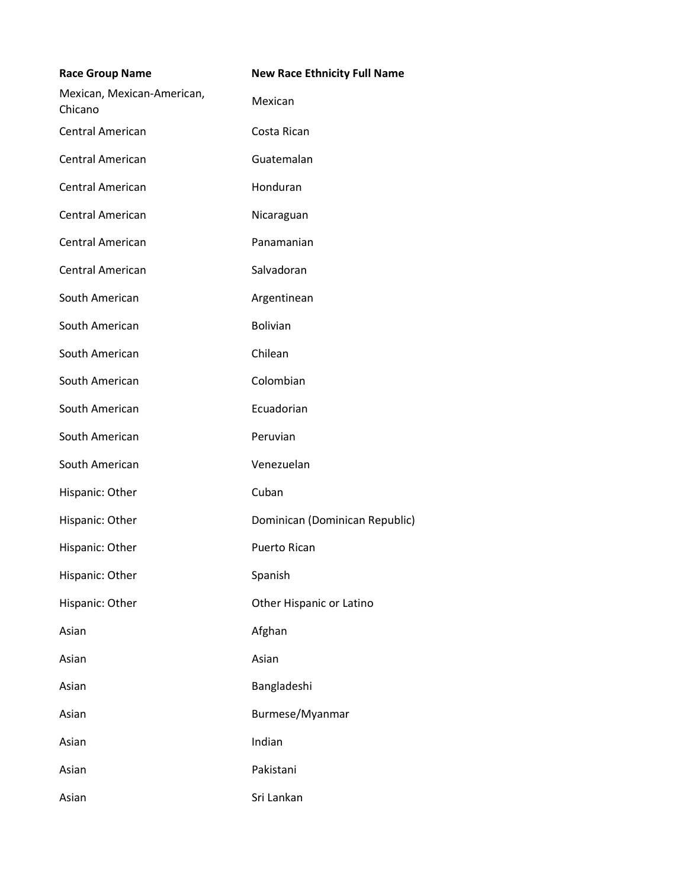| <b>Race Group Name</b>                | <b>New Race Ethnicity Full Name</b> |
|---------------------------------------|-------------------------------------|
| Mexican, Mexican-American,<br>Chicano | Mexican                             |
| <b>Central American</b>               | Costa Rican                         |
| Central American                      | Guatemalan                          |
| Central American                      | Honduran                            |
| <b>Central American</b>               | Nicaraguan                          |
| Central American                      | Panamanian                          |
| Central American                      | Salvadoran                          |
| South American                        | Argentinean                         |
| South American                        | <b>Bolivian</b>                     |
| South American                        | Chilean                             |
| South American                        | Colombian                           |
| South American                        | Ecuadorian                          |
| South American                        | Peruvian                            |
| South American                        | Venezuelan                          |
| Hispanic: Other                       | Cuban                               |
| Hispanic: Other                       | Dominican (Dominican Republic)      |
| Hispanic: Other                       | <b>Puerto Rican</b>                 |
| Hispanic: Other                       | Spanish                             |
| Hispanic: Other                       | Other Hispanic or Latino            |
| Asian                                 | Afghan                              |
| Asian                                 | Asian                               |
| Asian                                 | Bangladeshi                         |
| Asian                                 | Burmese/Myanmar                     |
| Asian                                 | Indian                              |
| Asian                                 | Pakistani                           |
| Asian                                 | Sri Lankan                          |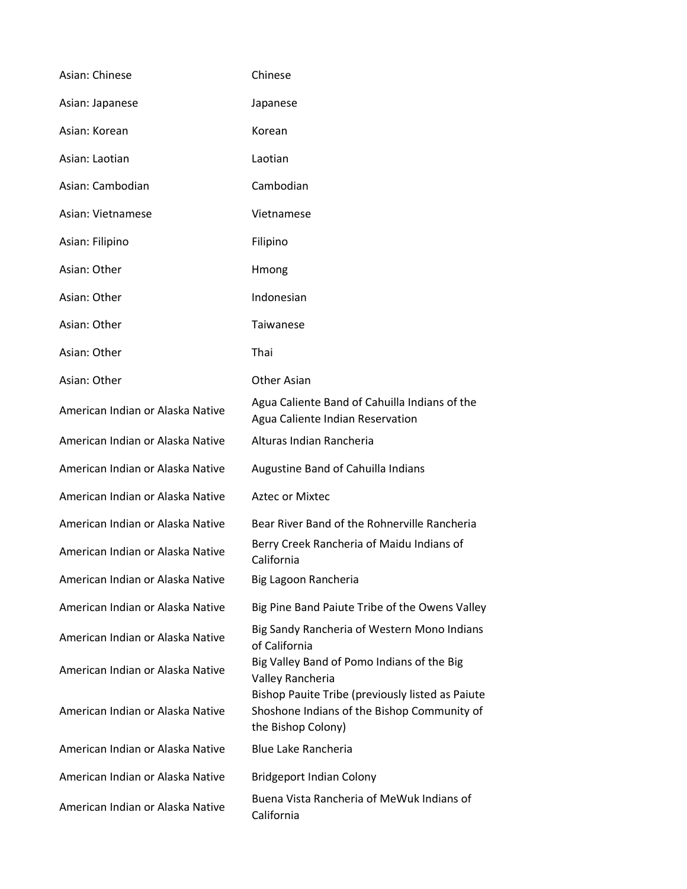| Asian: Chinese                   | Chinese                                                                                                               |
|----------------------------------|-----------------------------------------------------------------------------------------------------------------------|
| Asian: Japanese                  | Japanese                                                                                                              |
| Asian: Korean                    | Korean                                                                                                                |
| Asian: Laotian                   | Laotian                                                                                                               |
| Asian: Cambodian                 | Cambodian                                                                                                             |
| Asian: Vietnamese                | Vietnamese                                                                                                            |
| Asian: Filipino                  | Filipino                                                                                                              |
| Asian: Other                     | Hmong                                                                                                                 |
| Asian: Other                     | Indonesian                                                                                                            |
| Asian: Other                     | Taiwanese                                                                                                             |
| Asian: Other                     | Thai                                                                                                                  |
| Asian: Other                     | Other Asian                                                                                                           |
| American Indian or Alaska Native | Agua Caliente Band of Cahuilla Indians of the<br>Agua Caliente Indian Reservation                                     |
| American Indian or Alaska Native | Alturas Indian Rancheria                                                                                              |
| American Indian or Alaska Native | Augustine Band of Cahuilla Indians                                                                                    |
| American Indian or Alaska Native | <b>Aztec or Mixtec</b>                                                                                                |
| American Indian or Alaska Native | Bear River Band of the Rohnerville Rancheria                                                                          |
| American Indian or Alaska Native | Berry Creek Rancheria of Maidu Indians of<br>California                                                               |
| American Indian or Alaska Native | Big Lagoon Rancheria                                                                                                  |
| American Indian or Alaska Native | Big Pine Band Paiute Tribe of the Owens Valley                                                                        |
| American Indian or Alaska Native | Big Sandy Rancheria of Western Mono Indians<br>of California                                                          |
| American Indian or Alaska Native | Big Valley Band of Pomo Indians of the Big<br>Valley Rancheria                                                        |
| American Indian or Alaska Native | Bishop Pauite Tribe (previously listed as Paiute<br>Shoshone Indians of the Bishop Community of<br>the Bishop Colony) |
| American Indian or Alaska Native | <b>Blue Lake Rancheria</b>                                                                                            |
| American Indian or Alaska Native | <b>Bridgeport Indian Colony</b>                                                                                       |
| American Indian or Alaska Native | Buena Vista Rancheria of MeWuk Indians of<br>California                                                               |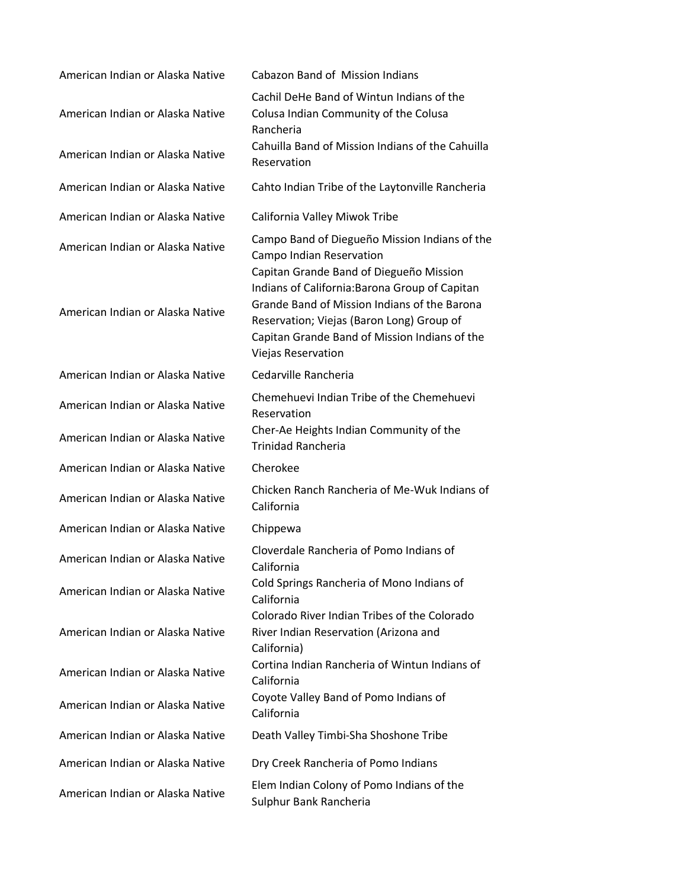| American Indian or Alaska Native                                     | Cabazon Band of Mission Indians                                                                                                                                                                                                                                                                                      |
|----------------------------------------------------------------------|----------------------------------------------------------------------------------------------------------------------------------------------------------------------------------------------------------------------------------------------------------------------------------------------------------------------|
| American Indian or Alaska Native                                     | Cachil DeHe Band of Wintun Indians of the<br>Colusa Indian Community of the Colusa<br>Rancheria                                                                                                                                                                                                                      |
| American Indian or Alaska Native                                     | Cahuilla Band of Mission Indians of the Cahuilla<br>Reservation                                                                                                                                                                                                                                                      |
| American Indian or Alaska Native                                     | Cahto Indian Tribe of the Laytonville Rancheria                                                                                                                                                                                                                                                                      |
| American Indian or Alaska Native                                     | California Valley Miwok Tribe                                                                                                                                                                                                                                                                                        |
| American Indian or Alaska Native<br>American Indian or Alaska Native | Campo Band of Diegueño Mission Indians of the<br>Campo Indian Reservation<br>Capitan Grande Band of Diegueño Mission<br>Indians of California: Barona Group of Capitan<br>Grande Band of Mission Indians of the Barona<br>Reservation; Viejas (Baron Long) Group of<br>Capitan Grande Band of Mission Indians of the |
| American Indian or Alaska Native                                     | Viejas Reservation<br>Cedarville Rancheria                                                                                                                                                                                                                                                                           |
| American Indian or Alaska Native                                     | Chemehuevi Indian Tribe of the Chemehuevi<br>Reservation                                                                                                                                                                                                                                                             |
| American Indian or Alaska Native                                     | Cher-Ae Heights Indian Community of the<br><b>Trinidad Rancheria</b>                                                                                                                                                                                                                                                 |
| American Indian or Alaska Native                                     | Cherokee                                                                                                                                                                                                                                                                                                             |
| American Indian or Alaska Native                                     | Chicken Ranch Rancheria of Me-Wuk Indians of<br>California                                                                                                                                                                                                                                                           |
| American Indian or Alaska Native                                     | Chippewa                                                                                                                                                                                                                                                                                                             |
| American Indian or Alaska Native                                     | Cloverdale Rancheria of Pomo Indians of<br>California                                                                                                                                                                                                                                                                |
| American Indian or Alaska Native                                     | Cold Springs Rancheria of Mono Indians of<br>California                                                                                                                                                                                                                                                              |
| American Indian or Alaska Native                                     | Colorado River Indian Tribes of the Colorado<br>River Indian Reservation (Arizona and<br>California)                                                                                                                                                                                                                 |
| American Indian or Alaska Native                                     | Cortina Indian Rancheria of Wintun Indians of<br>California                                                                                                                                                                                                                                                          |
| American Indian or Alaska Native                                     | Coyote Valley Band of Pomo Indians of<br>California                                                                                                                                                                                                                                                                  |
| American Indian or Alaska Native                                     | Death Valley Timbi-Sha Shoshone Tribe                                                                                                                                                                                                                                                                                |
| American Indian or Alaska Native                                     | Dry Creek Rancheria of Pomo Indians                                                                                                                                                                                                                                                                                  |
| American Indian or Alaska Native                                     | Elem Indian Colony of Pomo Indians of the<br>Sulphur Bank Rancheria                                                                                                                                                                                                                                                  |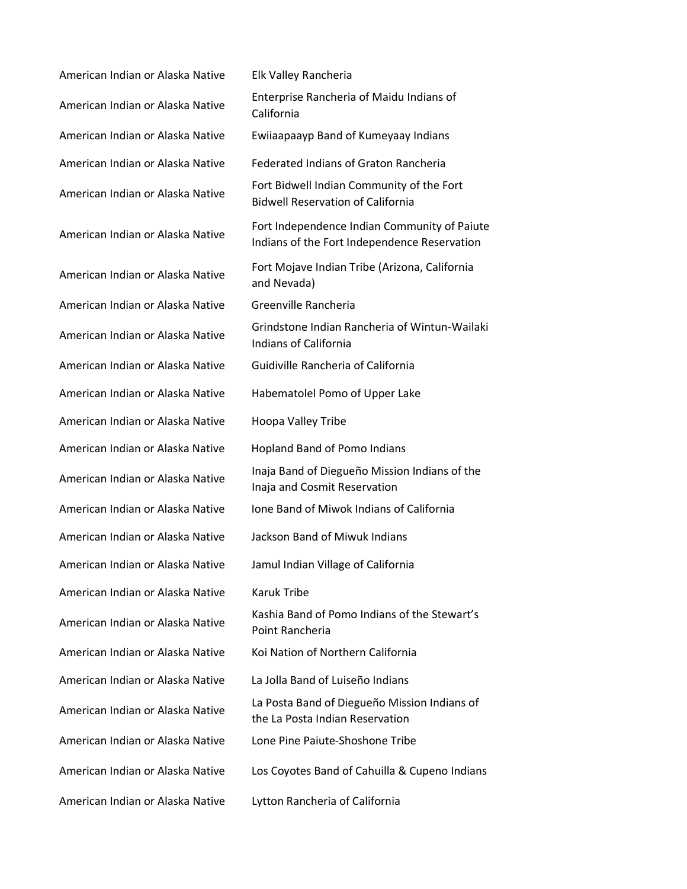American Indian or Alaska Native Elk Valley Rancheria American Indian or Alaska Native Enterprise Rancheria of Maidu Indians of American Indian or Alaska Native Ewiiaapaayp Band of Kumeyaay Indians American Indian or Alaska Native Federated Indians of Graton Rancheria American Indian or Alaska Native Fort Bidwell Indian Community of the Fort American Indian or Alaska Native Fort Mojave Indian Tribe (Arizona, California American Indian or Alaska Native Greenville Rancheria American Indian or Alaska Native Guidiville Rancheria of California American Indian or Alaska Native Habematolel Pomo of Upper Lake American Indian or Alaska Native Hoopa Valley Tribe American Indian or Alaska Native Hopland Band of Pomo Indians American Indian or Alaska Native Inaja Band of Diegueño Mission Indians of the American Indian or Alaska Native Ione Band of Miwok Indians of California American Indian or Alaska Native Jackson Band of Miwuk Indians American Indian or Alaska Native Jamul Indian Village of California American Indian or Alaska Native Karuk Tribe American Indian or Alaska Native Kashia Band of Pomo Indians of the Stewart's American Indian or Alaska Native Koi Nation of Northern California American Indian or Alaska Native La Jolla Band of Luiseño Indians American Indian or Alaska Native La Posta Band of Diegueño Mission Indians of American Indian or Alaska Native Lone Pine Paiute-Shoshone Tribe American Indian or Alaska Native Lytton Rancheria of California

California Bidwell Reservation of California American Indian or Alaska Native Fort Independence Indian Community of Paiute Indians of the Fort Independence Reservation and Nevada) American Indian or Alaska Native Grindstone Indian Rancheria of WintunWailaki Indians of California Inaja and Cosmit Reservation Point Rancheria the La Posta Indian Reservation American Indian or Alaska Native Los Coyotes Band of Cahuilla & Cupeno Indians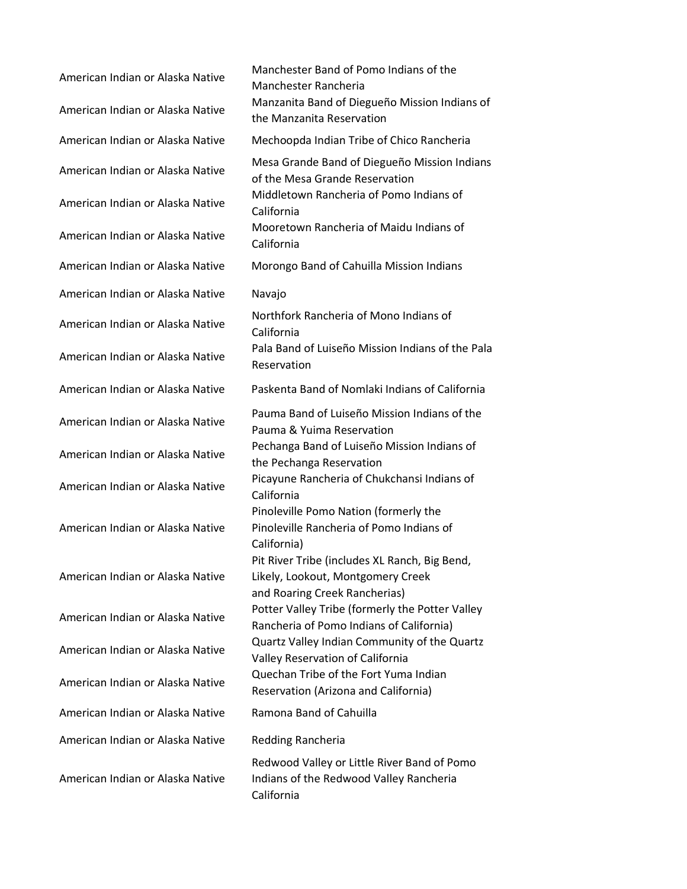American Indian or Alaska Native Manchester Band of Pomo Indians of the Manchester Rancheria American Indian or Alaska Native Manzanita Band of Diegueño Mission Indians of the Manzanita Reservation American Indian or Alaska Native Mechoopda Indian Tribe of Chico Rancheria American Indian or Alaska Native Mesa Grande Band of Diegueño Mission Indians of the Mesa Grande Reservation American Indian or Alaska Native Middletown Rancheria of Pomo Indians of California American Indian or Alaska Native Mooretown Rancheria of Maidu Indians of California American Indian or Alaska Native Morongo Band of Cahuilla Mission Indians American Indian or Alaska Native Navajo American Indian or Alaska Native Northfork Rancheria of Mono Indians of California American Indian or Alaska Native Pala Band of Luiseño Mission Indians of the Pala Reservation American Indian or Alaska Native Paskenta Band of Nomlaki Indians of California American Indian or Alaska Native Pauma Band of Luiseño Mission Indians of the Pauma & Yuima Reservation American Indian or Alaska Native Pechanga Band of Luiseño Mission Indians of the Pechanga Reservation American Indian or Alaska Native Picayune Rancheria of Chukchansi Indians of California American Indian or Alaska Native Pinoleville Pomo Nation (formerly the Pinoleville Rancheria of Pomo Indians of California) American Indian or Alaska Native Pit River Tribe (includes XL Ranch, Big Bend, Likely, Lookout, Montgomery Creek and Roaring Creek Rancherias) American Indian or Alaska Native Potter Valley Tribe (formerly the Potter Valley Rancheria of Pomo Indians of California) American Indian or Alaska Native Quartz Valley Indian Community of the Quartz Valley Reservation of California American Indian or Alaska Native Quechan Tribe of the Fort Yuma Indian Reservation (Arizona and California) American Indian or Alaska Native Ramona Band of Cahuilla American Indian or Alaska Native Redding Rancheria American Indian or Alaska Native Redwood Valley or Little River Band of Pomo Indians of the Redwood Valley Rancheria California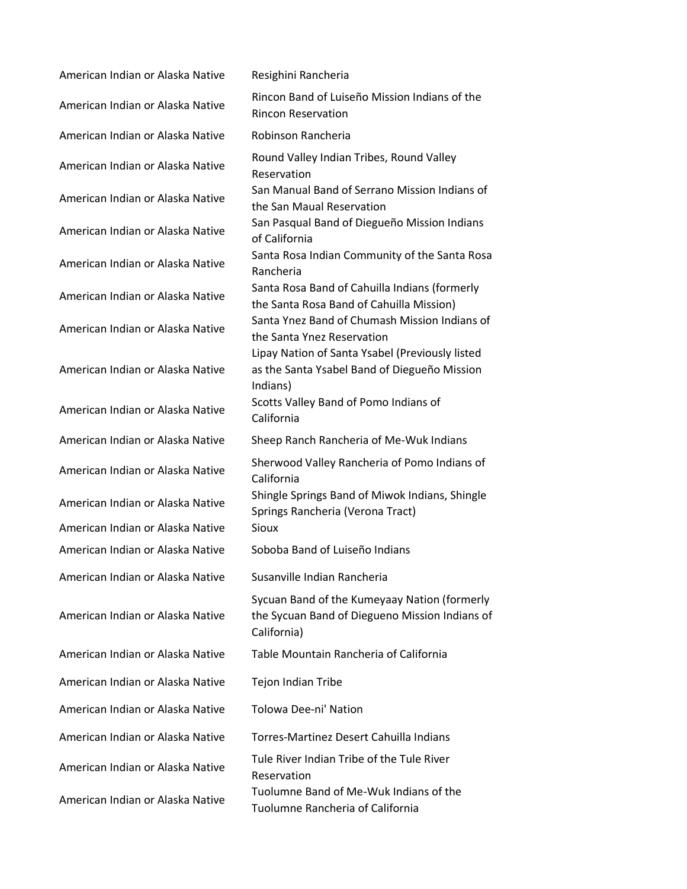| American Indian or Alaska Native | Resighini Rancheria                                                                                           |
|----------------------------------|---------------------------------------------------------------------------------------------------------------|
| American Indian or Alaska Native | Rincon Band of Luiseño Mission Indians of the<br><b>Rincon Reservation</b>                                    |
| American Indian or Alaska Native | Robinson Rancheria                                                                                            |
| American Indian or Alaska Native | Round Valley Indian Tribes, Round Valley<br>Reservation                                                       |
| American Indian or Alaska Native | San Manual Band of Serrano Mission Indians of<br>the San Maual Reservation                                    |
| American Indian or Alaska Native | San Pasqual Band of Diegueño Mission Indians<br>of California                                                 |
| American Indian or Alaska Native | Santa Rosa Indian Community of the Santa Rosa<br>Rancheria                                                    |
| American Indian or Alaska Native | Santa Rosa Band of Cahuilla Indians (formerly<br>the Santa Rosa Band of Cahuilla Mission)                     |
| American Indian or Alaska Native | Santa Ynez Band of Chumash Mission Indians of<br>the Santa Ynez Reservation                                   |
| American Indian or Alaska Native | Lipay Nation of Santa Ysabel (Previously listed<br>as the Santa Ysabel Band of Diegueño Mission<br>Indians)   |
| American Indian or Alaska Native | Scotts Valley Band of Pomo Indians of<br>California                                                           |
| American Indian or Alaska Native | Sheep Ranch Rancheria of Me-Wuk Indians                                                                       |
| American Indian or Alaska Native | Sherwood Valley Rancheria of Pomo Indians of<br>California                                                    |
| American Indian or Alaska Native | Shingle Springs Band of Miwok Indians, Shingle<br>Springs Rancheria (Verona Tract)                            |
| American Indian or Alaska Native | Sioux                                                                                                         |
| American Indian or Alaska Native | Soboba Band of Luiseño Indians                                                                                |
| American Indian or Alaska Native | Susanville Indian Rancheria                                                                                   |
| American Indian or Alaska Native | Sycuan Band of the Kumeyaay Nation (formerly<br>the Sycuan Band of Diegueno Mission Indians of<br>California) |
| American Indian or Alaska Native | Table Mountain Rancheria of California                                                                        |
| American Indian or Alaska Native | Tejon Indian Tribe                                                                                            |
| American Indian or Alaska Native | <b>Tolowa Dee-ni' Nation</b>                                                                                  |
| American Indian or Alaska Native | Torres-Martinez Desert Cahuilla Indians                                                                       |
| American Indian or Alaska Native | Tule River Indian Tribe of the Tule River<br>Reservation                                                      |
| American Indian or Alaska Native | Tuolumne Band of Me-Wuk Indians of the<br>Tuolumne Rancheria of California                                    |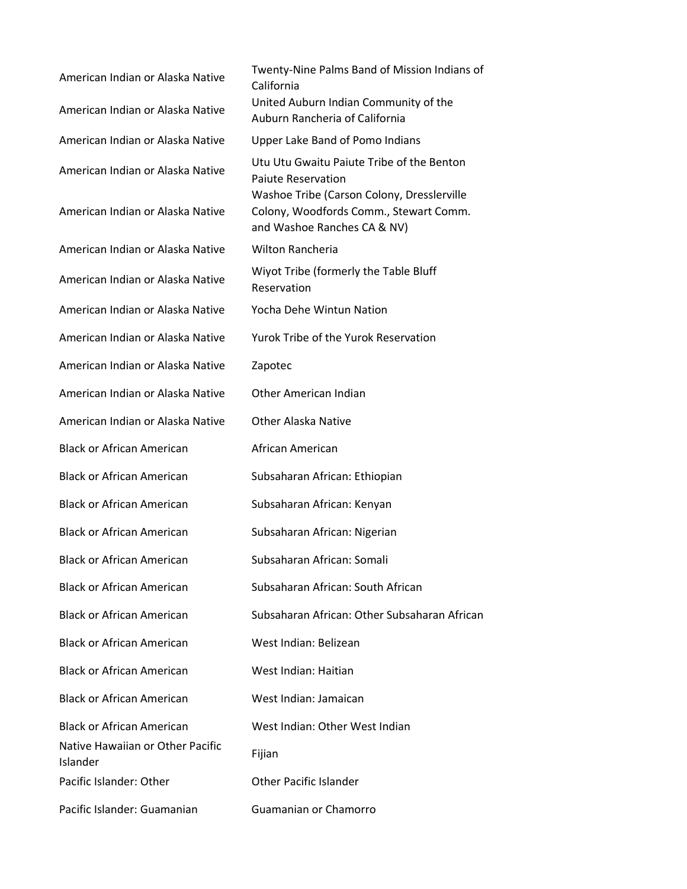| American Indian or Alaska Native<br>American Indian or Alaska Native | Twenty-Nine Palms Band of Mission Indians of<br>California<br>United Auburn Indian Community of the<br>Auburn Rancheria of California |
|----------------------------------------------------------------------|---------------------------------------------------------------------------------------------------------------------------------------|
| American Indian or Alaska Native                                     | <b>Upper Lake Band of Pomo Indians</b>                                                                                                |
| American Indian or Alaska Native                                     | Utu Utu Gwaitu Paiute Tribe of the Benton<br><b>Paiute Reservation</b><br>Washoe Tribe (Carson Colony, Dresslerville                  |
| American Indian or Alaska Native                                     | Colony, Woodfords Comm., Stewart Comm.<br>and Washoe Ranches CA & NV)                                                                 |
| American Indian or Alaska Native                                     | <b>Wilton Rancheria</b>                                                                                                               |
| American Indian or Alaska Native                                     | Wiyot Tribe (formerly the Table Bluff<br>Reservation                                                                                  |
| American Indian or Alaska Native                                     | Yocha Dehe Wintun Nation                                                                                                              |
| American Indian or Alaska Native                                     | Yurok Tribe of the Yurok Reservation                                                                                                  |
| American Indian or Alaska Native                                     | Zapotec                                                                                                                               |
| American Indian or Alaska Native                                     | Other American Indian                                                                                                                 |
| American Indian or Alaska Native                                     | <b>Other Alaska Native</b>                                                                                                            |
| <b>Black or African American</b>                                     | African American                                                                                                                      |
| <b>Black or African American</b>                                     | Subsaharan African: Ethiopian                                                                                                         |
| <b>Black or African American</b>                                     | Subsaharan African: Kenyan                                                                                                            |
| <b>Black or African American</b>                                     | Subsaharan African: Nigerian                                                                                                          |
| <b>Black or African American</b>                                     | Subsaharan African: Somali                                                                                                            |
| <b>Black or African American</b>                                     | Subsaharan African: South African                                                                                                     |
| <b>Black or African American</b>                                     | Subsaharan African: Other Subsaharan African                                                                                          |
| <b>Black or African American</b>                                     | West Indian: Belizean                                                                                                                 |
| <b>Black or African American</b>                                     | West Indian: Haitian                                                                                                                  |
| <b>Black or African American</b>                                     | West Indian: Jamaican                                                                                                                 |
| <b>Black or African American</b>                                     | West Indian: Other West Indian                                                                                                        |
| Native Hawaiian or Other Pacific<br>Islander                         | Fijian                                                                                                                                |
| Pacific Islander: Other                                              | <b>Other Pacific Islander</b>                                                                                                         |
| Pacific Islander: Guamanian                                          | Guamanian or Chamorro                                                                                                                 |